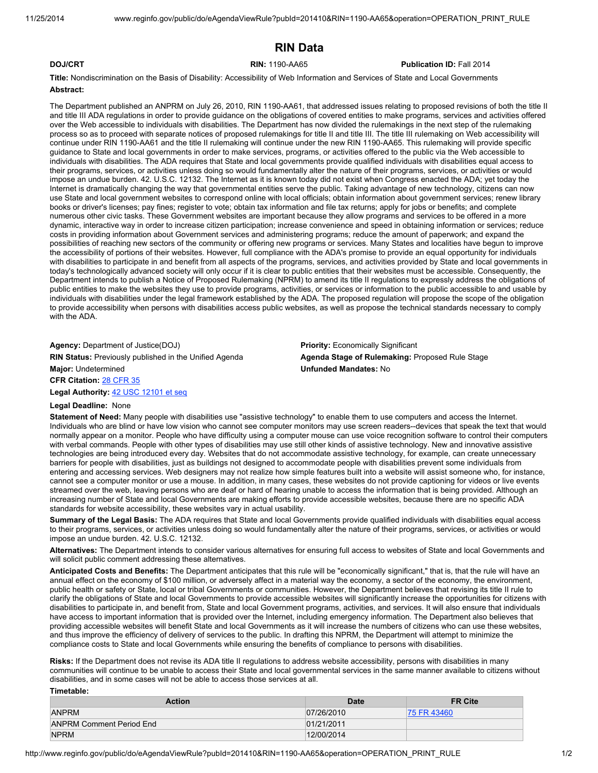# RIN Data

## **DOJ/CRT Example 2014 RIN: 1190-AA65 Publication ID: Fall 2014**

Title: Nondiscrimination on the Basis of Disability: Accessibility of Web Information and Services of State and Local Governments Abstract:

The Department published an ANPRM on July 26, 2010, RIN 1190-AA61, that addressed issues relating to proposed revisions of both the title II and title III ADA regulations in order to provide guidance on the obligations of covered entities to make programs, services and activities offered over the Web accessible to individuals with disabilities. The Department has now divided the rulemakings in the next step of the rulemaking process so as to proceed with separate notices of proposed rulemakings for title II and title III. The title III rulemaking on Web accessibility will continue under RIN 1190-AA61 and the title II rulemaking will continue under the new RIN 1190-AA65. This rulemaking will provide specific guidance to State and local governments in order to make services, programs, or activities offered to the public via the Web accessible to individuals with disabilities. The ADA requires that State and local governments provide qualified individuals with disabilities equal access to their programs, services, or activities unless doing so would fundamentally alter the nature of their programs, services, or activities or would impose an undue burden. 42. U.S.C. 12132. The Internet as it is known today did not exist when Congress enacted the ADA; yet today the Internet is dramatically changing the way that governmental entities serve the public. Taking advantage of new technology, citizens can now use State and local government websites to correspond online with local officials; obtain information about government services; renew library books or driver's licenses; pay fines; register to vote; obtain tax information and file tax returns; apply for jobs or benefits; and complete numerous other civic tasks. These Government websites are important because they allow programs and services to be offered in a more dynamic, interactive way in order to increase citizen participation; increase convenience and speed in obtaining information or services; reduce costs in providing information about Government services and administering programs; reduce the amount of paperwork; and expand the possibilities of reaching new sectors of the community or offering new programs or services. Many States and localities have begun to improve the accessibility of portions of their websites. However, full compliance with the ADA's promise to provide an equal opportunity for individuals with disabilities to participate in and benefit from all aspects of the programs, services, and activities provided by State and local governments in today's technologically advanced society will only occur if it is clear to public entities that their websites must be accessible. Consequently, the Department intends to publish a Notice of Proposed Rulemaking (NPRM) to amend its title II regulations to expressly address the obligations of public entities to make the websites they use to provide programs, activities, or services or information to the public accessible to and usable by individuals with disabilities under the legal framework established by the ADA. The proposed regulation will propose the scope of the obligation to provide accessibility when persons with disabilities access public websites, as well as propose the technical standards necessary to comply with the ADA.

Agency: Department of Justice(DOJ) **Priority: Economically Significant** RIN Status: Previously published in the Unified Agenda **Agenda Stage of Rulemaking**: Proposed Rule Stage **Major: Undetermined Community Community Community Community Community Community Community Community Community** Community Community Community Community Community Community Community Community Community Community Community

CFR Citation: 28 CFR 35

Legal Authority: 42 USC 12101 et seq

### Legal Deadline: None

Timetable:

Statement of Need: Many people with disabilities use "assistive technology" to enable them to use computers and access the Internet. Individuals who are blind or have low vision who cannot see computer monitors may use screen readers--devices that speak the text that would normally appear on a monitor. People who have difficulty using a computer mouse can use voice recognition software to control their computers with verbal commands. People with other types of disabilities may use still other kinds of assistive technology. New and innovative assistive technologies are being introduced every day. Websites that do not accommodate assistive technology, for example, can create unnecessary barriers for people with disabilities, just as buildings not designed to accommodate people with disabilities prevent some individuals from entering and accessing services. Web designers may not realize how simple features built into a website will assist someone who, for instance, cannot see a computer monitor or use a mouse. In addition, in many cases, these websites do not provide captioning for videos or live events streamed over the web, leaving persons who are deaf or hard of hearing unable to access the information that is being provided. Although an increasing number of State and local Governments are making efforts to provide accessible websites, because there are no specific ADA standards for website accessibility, these websites vary in actual usability.

Summary of the Legal Basis: The ADA requires that State and local Governments provide qualified individuals with disabilities equal access to their programs, services, or activities unless doing so would fundamentally alter the nature of their programs, services, or activities or would impose an undue burden. 42. U.S.C. 12132.

Alternatives: The Department intends to consider various alternatives for ensuring full access to websites of State and local Governments and will solicit public comment addressing these alternatives.

Anticipated Costs and Benefits: The Department anticipates that this rule will be "economically significant," that is, that the rule will have an annual effect on the economy of \$100 million, or adversely affect in a material way the economy, a sector of the economy, the environment, public health or safety or State, local or tribal Governments or communities. However, the Department believes that revising its title II rule to clarify the obligations of State and local Governments to provide accessible websites will significantly increase the opportunities for citizens with disabilities to participate in, and benefit from, State and local Government programs, activities, and services. It will also ensure that individuals have access to important information that is provided over the Internet, including emergency information. The Department also believes that providing accessible websites will benefit State and local Governments as it will increase the numbers of citizens who can use these websites, and thus improve the efficiency of delivery of services to the public. In drafting this NPRM, the Department will attempt to minimize the compliance costs to State and local Governments while ensuring the benefits of compliance to persons with disabilities.

Risks: If the Department does not revise its ADA title II regulations to address website accessibility, persons with disabilities in many communities will continue to be unable to access their State and local governmental services in the same manner available to citizens without disabilities, and in some cases will not be able to access those services at all.

| .                               |            |                |
|---------------------------------|------------|----------------|
| <b>Action</b>                   | Date       | <b>FR Cite</b> |
| <b>ANPRM</b>                    | 07/26/2010 | 75 FR 43460    |
| <b>ANPRM Comment Period End</b> | 01/21/2011 |                |
| <b>NPRM</b>                     | 12/00/2014 |                |